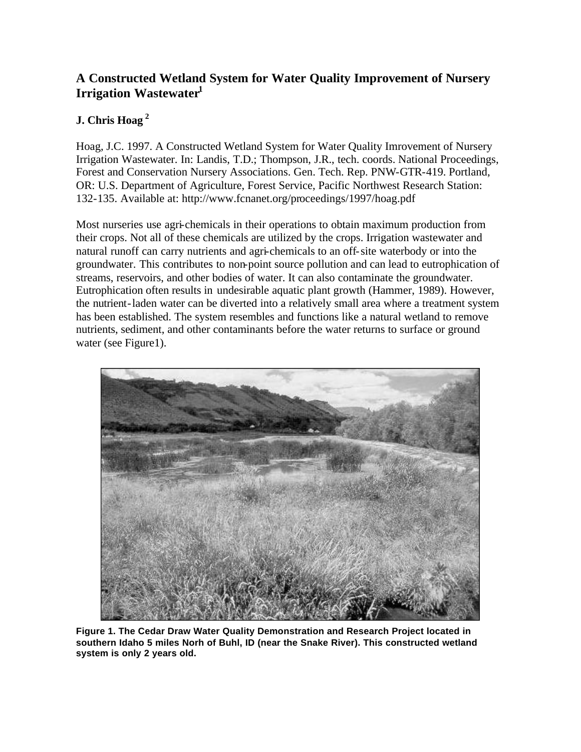## **A Constructed Wetland System for Water Quality Improvement of Nursery Irrigation Wastewater<sup>1</sup>**

## **J. Chris Hoag<sup>2</sup>**

Hoag, J.C. 1997. A Constructed Wetland System for Water Quality Imrovement of Nursery Irrigation Wastewater. In: Landis, T.D.; Thompson, J.R., tech. coords. National Proceedings, Forest and Conservation Nursery Associations. Gen. Tech. Rep. PNW-GTR-419. Portland, OR: U.S. Department of Agriculture, Forest Service, Pacific Northwest Research Station: 132-135. Available at: http://www.fcnanet.org/proceedings/1997/hoag.pdf

Most nurseries use agri-chemicals in their operations to obtain maximum production from their crops. Not all of these chemicals are utilized by the crops. Irrigation wastewater and natural runoff can carry nutrients and agri-chemicals to an off-site waterbody or into the groundwater. This contributes to non-point source pollution and can lead to eutrophication of streams, reservoirs, and other bodies of water. It can also contaminate the groundwater. Eutrophication often results in undesirable aquatic plant growth (Hammer, 1989). However, the nutrient-laden water can be diverted into a relatively small area where a treatment system has been established. The system resembles and functions like a natural wetland to remove nutrients, sediment, and other contaminants before the water returns to surface or ground water (see Figure 1).



**Figure 1. The Cedar Draw Water Quality Demonstration and Research Project located in southern Idaho 5 miles Norh of Buhl, ID (near the Snake River). This constructed wetland system is only 2 years old.**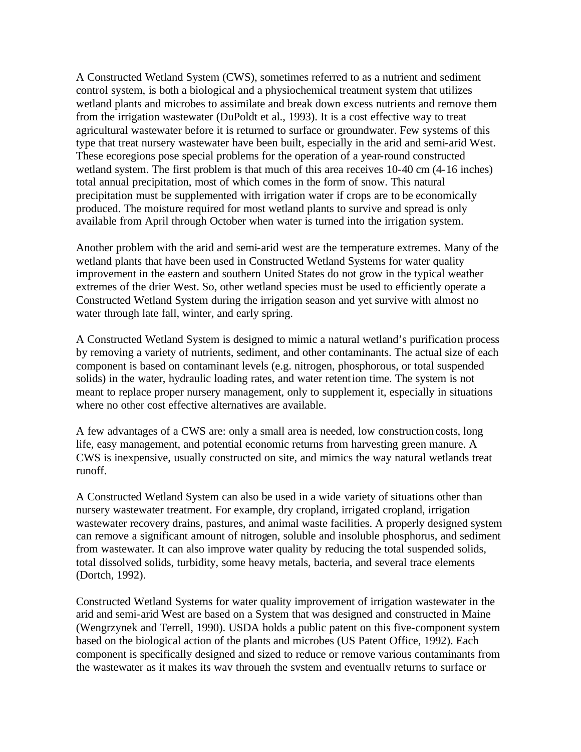A Constructed Wetland System (CWS), sometimes referred to as a nutrient and sediment control system, is both a biological and a physiochemical treatment system that utilizes wetland plants and microbes to assimilate and break down excess nutrients and remove them from the irrigation wastewater (DuPoldt et al., 1993). It is a cost effective way to treat agricultural wastewater before it is returned to surface or groundwater. Few systems of this type that treat nursery wastewater have been built, especially in the arid and semi-arid West. These ecoregions pose special problems for the operation of a year-round constructed wetland system. The first problem is that much of this area receives 10-40 cm (4-16 inches) total annual precipitation, most of which comes in the form of snow. This natural precipitation must be supplemented with irrigation water if crops are to be economically produced. The moisture required for most wetland plants to survive and spread is only available from April through October when water is turned into the irrigation system.

Another problem with the arid and semi-arid west are the temperature extremes. Many of the wetland plants that have been used in Constructed Wetland Systems for water quality improvement in the eastern and southern United States do not grow in the typical weather extremes of the drier West. So, other wetland species must be used to efficiently operate a Constructed Wetland System during the irrigation season and yet survive with almost no water through late fall, winter, and early spring.

A Constructed Wetland System is designed to mimic a natural wetland's purification process by removing a variety of nutrients, sediment, and other contaminants. The actual size of each component is based on contaminant levels (e.g. nitrogen, phosphorous, or total suspended solids) in the water, hydraulic loading rates, and water retention time. The system is not meant to replace proper nursery management, only to supplement it, especially in situations where no other cost effective alternatives are available.

A few advantages of a CWS are: only a small area is needed, low construction costs, long life, easy management, and potential economic returns from harvesting green manure. A CWS is inexpensive, usually constructed on site, and mimics the way natural wetlands treat runoff.

A Constructed Wetland System can also be used in a wide variety of situations other than nursery wastewater treatment. For example, dry cropland, irrigated cropland, irrigation wastewater recovery drains, pastures, and animal waste facilities. A properly designed system can remove a significant amount of nitrogen, soluble and insoluble phosphorus, and sediment from wastewater. It can also improve water quality by reducing the total suspended solids, total dissolved solids, turbidity, some heavy metals, bacteria, and several trace elements (Dortch, 1992).

Constructed Wetland Systems for water quality improvement of irrigation wastewater in the arid and semi-arid West are based on a System that was designed and constructed in Maine (Wengrzynek and Terrell, 1990). USDA holds a public patent on this five-component system based on the biological action of the plants and microbes (US Patent Office, 1992). Each component is specifically designed and sized to reduce or remove various contaminants from the wastewater as it makes its way through the system and eventually returns to surface or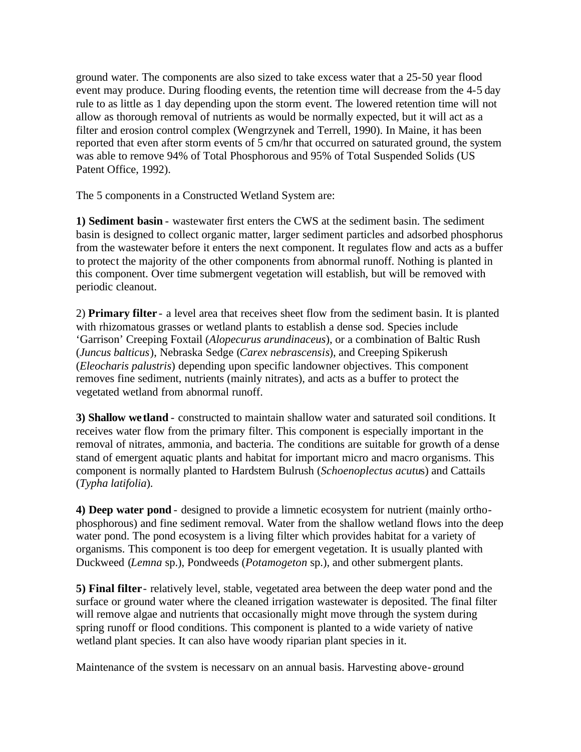ground water. The components are also sized to take excess water that a 25-50 year flood event may produce. During flooding events, the retention time will decrease from the 4-5 day rule to as little as 1 day depending upon the storm event. The lowered retention time will not allow as thorough removal of nutrients as would be normally expected, but it will act as a filter and erosion control complex (Wengrzynek and Terrell, 1990). In Maine, it has been reported that even after storm events of 5 cm/hr that occurred on saturated ground, the system was able to remove 94% of Total Phosphorous and 95% of Total Suspended Solids (US Patent Office, 1992).

The 5 components in a Constructed Wetland System are:

**1) Sediment basin** - wastewater first enters the CWS at the sediment basin. The sediment basin is designed to collect organic matter, larger sediment particles and adsorbed phosphorus from the wastewater before it enters the next component. It regulates flow and acts as a buffer to protect the majority of the other components from abnormal runoff. Nothing is planted in this component. Over time submergent vegetation will establish, but will be removed with periodic cleanout.

2) **Primary filter** - a level area that receives sheet flow from the sediment basin. It is planted with rhizomatous grasses or wetland plants to establish a dense sod. Species include 'Garrison' Creeping Foxtail (*Alopecurus arundinaceus*), or a combination of Baltic Rush (*Juncus balticus*), Nebraska Sedge (*Carex nebrascensis*), and Creeping Spikerush (*Eleocharis palustris*) depending upon specific landowner objectives. This component removes fine sediment, nutrients (mainly nitrates), and acts as a buffer to protect the vegetated wetland from abnormal runoff.

**3) Shallow wetland** - constructed to maintain shallow water and saturated soil conditions. It receives water flow from the primary filter. This component is especially important in the removal of nitrates, ammonia, and bacteria. The conditions are suitable for growth of a dense stand of emergent aquatic plants and habitat for important micro and macro organisms. This component is normally planted to Hardstem Bulrush (*Schoenoplectus acutu*s) and Cattails (*Typha latifolia*).

**4) Deep water pond** - designed to provide a limnetic ecosystem for nutrient (mainly orthophosphorous) and fine sediment removal. Water from the shallow wetland flows into the deep water pond. The pond ecosystem is a living filter which provides habitat for a variety of organisms. This component is too deep for emergent vegetation. It is usually planted with Duckweed (*Lemna* sp.), Pondweeds (*Potamogeton* sp.), and other submergent plants.

**5) Final filter**- relatively level, stable, vegetated area between the deep water pond and the surface or ground water where the cleaned irrigation wastewater is deposited. The final filter will remove algae and nutrients that occasionally might move through the system during spring runoff or flood conditions. This component is planted to a wide variety of native wetland plant species. It can also have woody riparian plant species in it.

Maintenance of the system is necessary on an annual basis. Harvesting above-ground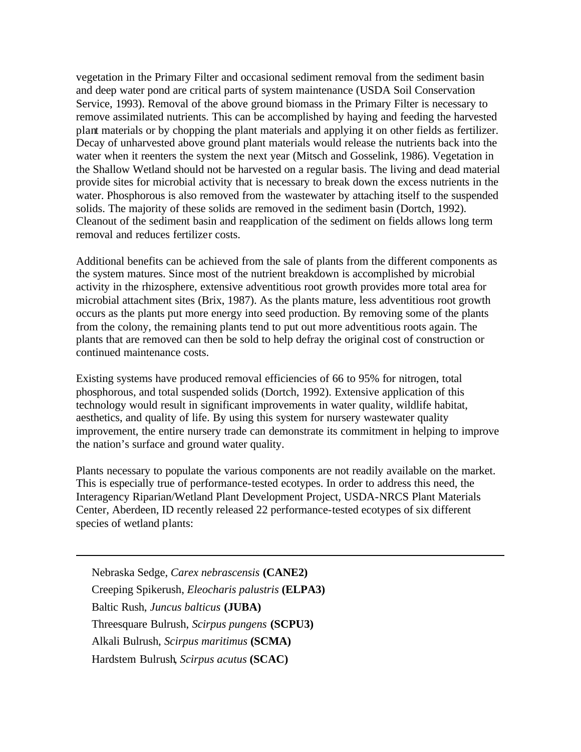vegetation in the Primary Filter and occasional sediment removal from the sediment basin and deep water pond are critical parts of system maintenance (USDA Soil Conservation Service, 1993). Removal of the above ground biomass in the Primary Filter is necessary to remove assimilated nutrients. This can be accomplished by haying and feeding the harvested plant materials or by chopping the plant materials and applying it on other fields as fertilizer. Decay of unharvested above ground plant materials would release the nutrients back into the water when it reenters the system the next year (Mitsch and Gosselink, 1986). Vegetation in the Shallow Wetland should not be harvested on a regular basis. The living and dead material provide sites for microbial activity that is necessary to break down the excess nutrients in the water. Phosphorous is also removed from the wastewater by attaching itself to the suspended solids. The majority of these solids are removed in the sediment basin (Dortch, 1992). Cleanout of the sediment basin and reapplication of the sediment on fields allows long term removal and reduces fertilizer costs.

Additional benefits can be achieved from the sale of plants from the different components as the system matures. Since most of the nutrient breakdown is accomplished by microbial activity in the rhizosphere, extensive adventitious root growth provides more total area for microbial attachment sites (Brix, 1987). As the plants mature, less adventitious root growth occurs as the plants put more energy into seed production. By removing some of the plants from the colony, the remaining plants tend to put out more adventitious roots again. The plants that are removed can then be sold to help defray the original cost of construction or continued maintenance costs.

Existing systems have produced removal efficiencies of 66 to 95% for nitrogen, total phosphorous, and total suspended solids (Dortch, 1992). Extensive application of this technology would result in significant improvements in water quality, wildlife habitat, aesthetics, and quality of life. By using this system for nursery wastewater quality improvement, the entire nursery trade can demonstrate its commitment in helping to improve the nation's surface and ground water quality.

Plants necessary to populate the various components are not readily available on the market. This is especially true of performance-tested ecotypes. In order to address this need, the Interagency Riparian/Wetland Plant Development Project, USDA-NRCS Plant Materials Center, Aberdeen, ID recently released 22 performance-tested ecotypes of six different species of wetland plants:

Nebraska Sedge, *Carex nebrascensis* **(CANE2)**  Creeping Spikerush, *Eleocharis palustris* **(ELPA3)** Baltic Rush, *Juncus balticus* **(JUBA)**  Threesquare Bulrush, *Scirpus pungens* **(SCPU3)** Alkali Bulrush, *Scirpus maritimus* **(SCMA)** Hardstem Bulrush, *Scirpus acutus* **(SCAC)**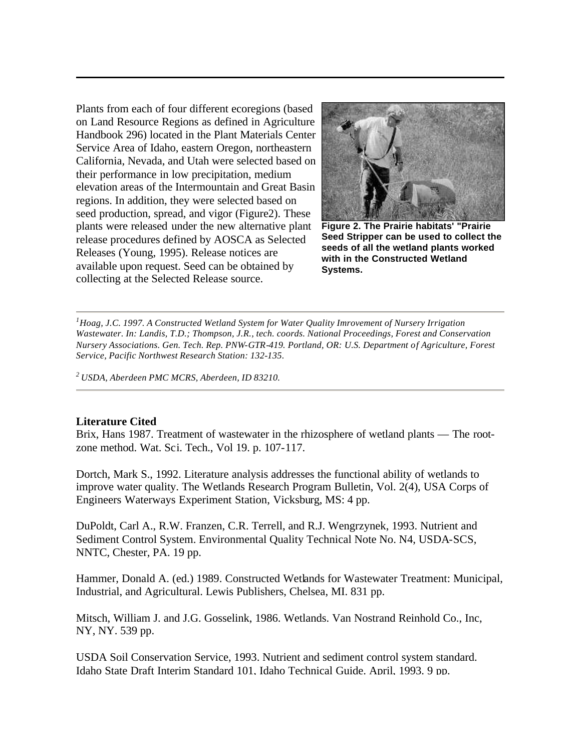Plants from each of four different ecoregions (based on Land Resource Regions as defined in Agriculture Handbook 296) located in the Plant Materials Center Service Area of Idaho, eastern Oregon, northeastern California, Nevada, and Utah were selected based on their performance in low precipitation, medium elevation areas of the Intermountain and Great Basin regions. In addition, they were selected based on seed production, spread, and vigor (Figure2). These plants were released under the new alternative plant release procedures defined by AOSCA as Selected Releases (Young, 1995). Release notices are available upon request. Seed can be obtained by collecting at the Selected Release source.



**Figure 2. The Prairie habitats' "Prairie Seed Stripper can be used to collect the seeds of all the wetland plants worked with in the Constructed Wetland Systems.** 

*<sup>1</sup>Hoag, J.C. 1997. A Constructed Wetland System for Water Quality Imrovement of Nursery Irrigation Wastewater. In: Landis, T.D.; Thompson, J.R., tech. coords. National Proceedings, Forest and Conservation Nursery Associations. Gen. Tech. Rep. PNW-GTR-419. Portland, OR: U.S. Department of Agriculture, Forest Service, Pacific Northwest Research Station: 132-135.*

*<sup>2</sup>USDA, Aberdeen PMC MCRS, Aberdeen, ID 83210.* 

## **Literature Cited**

Brix, Hans 1987. Treatment of wastewater in the rhizosphere of wetland plants — The rootzone method. Wat. Sci. Tech., Vol 19. p. 107-117.

Dortch, Mark S., 1992. Literature analysis addresses the functional ability of wetlands to improve water quality. The Wetlands Research Program Bulletin, Vol. 2(4), USA Corps of Engineers Waterways Experiment Station, Vicksburg, MS: 4 pp.

DuPoldt, Carl A., R.W. Franzen, C.R. Terrell, and R.J. Wengrzynek, 1993. Nutrient and Sediment Control System. Environmental Quality Technical Note No. N4, USDA-SCS, NNTC, Chester, PA. 19 pp.

Hammer, Donald A. (ed.) 1989. Constructed Wetlands for Wastewater Treatment: Municipal, Industrial, and Agricultural. Lewis Publishers, Chelsea, MI. 831 pp.

Mitsch, William J. and J.G. Gosselink, 1986. Wetlands. Van Nostrand Reinhold Co., Inc, NY, NY. 539 pp.

USDA Soil Conservation Service, 1993. Nutrient and sediment control system standard. Idaho State Draft Interim Standard 101, Idaho Technical Guide. April, 1993. 9 pp.